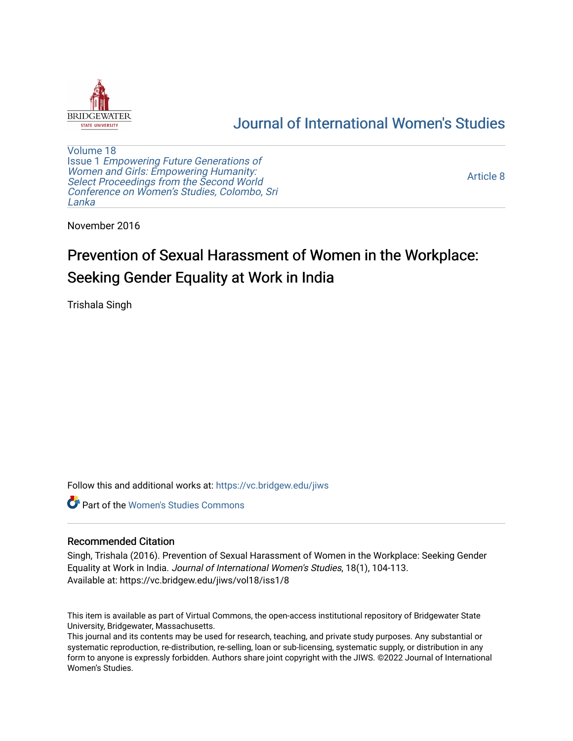

## [Journal of International Women's Studies](https://vc.bridgew.edu/jiws)

[Volume 18](https://vc.bridgew.edu/jiws/vol18) Issue 1 [Empowering Future Generations of](https://vc.bridgew.edu/jiws/vol18/iss1) [Women and Girls: Empowering Humanity:](https://vc.bridgew.edu/jiws/vol18/iss1) [Select Proceedings from the Second World](https://vc.bridgew.edu/jiws/vol18/iss1)  [Conference on Women's Studies, Colombo, Sri](https://vc.bridgew.edu/jiws/vol18/iss1)  [Lanka](https://vc.bridgew.edu/jiws/vol18/iss1) 

[Article 8](https://vc.bridgew.edu/jiws/vol18/iss1/8) 

November 2016

# Prevention of Sexual Harassment of Women in the Workplace: Seeking Gender Equality at Work in India

Trishala Singh

Follow this and additional works at: [https://vc.bridgew.edu/jiws](https://vc.bridgew.edu/jiws?utm_source=vc.bridgew.edu%2Fjiws%2Fvol18%2Fiss1%2F8&utm_medium=PDF&utm_campaign=PDFCoverPages)

**C** Part of the Women's Studies Commons

#### Recommended Citation

Singh, Trishala (2016). Prevention of Sexual Harassment of Women in the Workplace: Seeking Gender Equality at Work in India. Journal of International Women's Studies, 18(1), 104-113. Available at: https://vc.bridgew.edu/jiws/vol18/iss1/8

This item is available as part of Virtual Commons, the open-access institutional repository of Bridgewater State University, Bridgewater, Massachusetts.

This journal and its contents may be used for research, teaching, and private study purposes. Any substantial or systematic reproduction, re-distribution, re-selling, loan or sub-licensing, systematic supply, or distribution in any form to anyone is expressly forbidden. Authors share joint copyright with the JIWS. ©2022 Journal of International Women's Studies.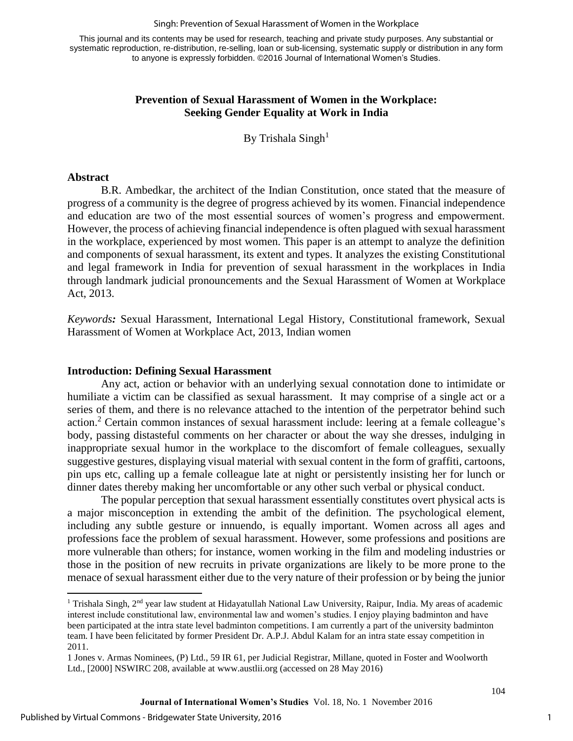#### Singh: Prevention of Sexual Harassment of Women in the Workplace

This journal and its contents may be used for research, teaching and private study purposes. Any substantial or systematic reproduction, re-distribution, re-selling, loan or sub-licensing, systematic supply or distribution in any form to anyone is expressly forbidden. ©2016 Journal of International Women's Studies.

#### **Prevention of Sexual Harassment of Women in the Workplace: Seeking Gender Equality at Work in India**

By Trishala  $Singh<sup>1</sup>$ 

#### **Abstract**

 $\overline{\phantom{a}}$ 

B.R. Ambedkar, the architect of the Indian Constitution, once stated that the measure of progress of a community is the degree of progress achieved by its women. Financial independence and education are two of the most essential sources of women's progress and empowerment. However, the process of achieving financial independence is often plagued with sexual harassment in the workplace, experienced by most women. This paper is an attempt to analyze the definition and components of sexual harassment, its extent and types. It analyzes the existing Constitutional and legal framework in India for prevention of sexual harassment in the workplaces in India through landmark judicial pronouncements and the Sexual Harassment of Women at Workplace Act, 2013.

*Keywords:* Sexual Harassment, International Legal History, Constitutional framework, Sexual Harassment of Women at Workplace Act, 2013, Indian women

#### **Introduction: Defining Sexual Harassment**

Any act, action or behavior with an underlying sexual connotation done to intimidate or humiliate a victim can be classified as sexual harassment. It may comprise of a single act or a series of them, and there is no relevance attached to the intention of the perpetrator behind such action.<sup>2</sup> Certain common instances of sexual harassment include: leering at a female colleague's body, passing distasteful comments on her character or about the way she dresses, indulging in inappropriate sexual humor in the workplace to the discomfort of female colleagues, sexually suggestive gestures, displaying visual material with sexual content in the form of graffiti, cartoons, pin ups etc, calling up a female colleague late at night or persistently insisting her for lunch or dinner dates thereby making her uncomfortable or any other such verbal or physical conduct.

The popular perception that sexual harassment essentially constitutes overt physical acts is a major misconception in extending the ambit of the definition. The psychological element, including any subtle gesture or innuendo, is equally important. Women across all ages and professions face the problem of sexual harassment. However, some professions and positions are more vulnerable than others; for instance, women working in the film and modeling industries or those in the position of new recruits in private organizations are likely to be more prone to the menace of sexual harassment either due to the very nature of their profession or by being the junior

<sup>&</sup>lt;sup>1</sup> Trishala Singh, 2<sup>nd</sup> year law student at Hidayatullah National Law University, Raipur, India. My areas of academic interest include constitutional law, environmental law and women's studies. I enjoy playing badminton and have been participated at the intra state level badminton competitions. I am currently a part of the university badminton team. I have been felicitated by former President Dr. A.P.J. Abdul Kalam for an intra state essay competition in 2011.

<sup>1</sup> Jones v. Armas Nominees, (P) Ltd., 59 IR 61, per Judicial Registrar, Millane, quoted in Foster and Woolworth Ltd., [2000] NSWIRC 208, available at [www.austlii.org](http://www.austlii.org/) (accessed on 28 May 2016)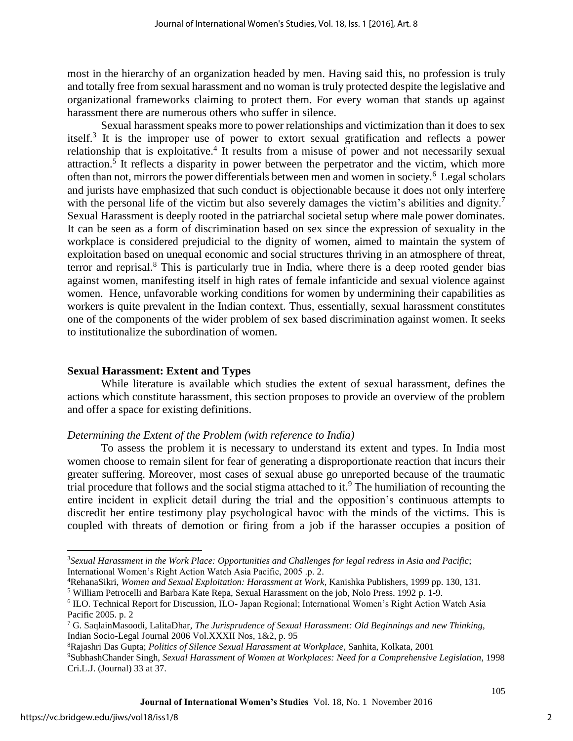most in the hierarchy of an organization headed by men. Having said this, no profession is truly and totally free from sexual harassment and no woman is truly protected despite the legislative and organizational frameworks claiming to protect them. For every woman that stands up against harassment there are numerous others who suffer in silence.

Sexual harassment speaks more to power relationships and victimization than it does to sex itself.<sup>3</sup> It is the improper use of power to extort sexual gratification and reflects a power relationship that is exploitative.<sup>4</sup> It results from a misuse of power and not necessarily sexual attraction.<sup>5</sup> It reflects a disparity in power between the perpetrator and the victim, which more often than not, mirrors the power differentials between men and women in society.<sup>6</sup> Legal scholars and jurists have emphasized that such conduct is objectionable because it does not only interfere with the personal life of the victim but also severely damages the victim's abilities and dignity.<sup>7</sup> Sexual Harassment is deeply rooted in the patriarchal societal setup where male power dominates. It can be seen as a form of discrimination based on sex since the expression of sexuality in the workplace is considered prejudicial to the dignity of women, aimed to maintain the system of exploitation based on unequal economic and social structures thriving in an atmosphere of threat, terror and reprisal.<sup>8</sup> This is particularly true in India, where there is a deep rooted gender bias against women, manifesting itself in high rates of female infanticide and sexual violence against women. Hence, unfavorable working conditions for women by undermining their capabilities as workers is quite prevalent in the Indian context. Thus, essentially, sexual harassment constitutes one of the components of the wider problem of sex based discrimination against women. It seeks to institutionalize the subordination of women.

#### **Sexual Harassment: Extent and Types**

While literature is available which studies the extent of sexual harassment, defines the actions which constitute harassment, this section proposes to provide an overview of the problem and offer a space for existing definitions.

#### *Determining the Extent of the Problem (with reference to India)*

To assess the problem it is necessary to understand its extent and types. In India most women choose to remain silent for fear of generating a disproportionate reaction that incurs their greater suffering. Moreover, most cases of sexual abuse go unreported because of the traumatic trial procedure that follows and the social stigma attached to it.<sup>9</sup> The humiliation of recounting the entire incident in explicit detail during the trial and the opposition's continuous attempts to discredit her entire testimony play psychological havoc with the minds of the victims. This is coupled with threats of demotion or firing from a job if the harasser occupies a position of

 $\overline{a}$ 

<sup>3</sup>*Sexual Harassment in the Work Place: Opportunities and Challenges for legal redress in Asia and Pacific*; International Women's Right Action Watch Asia Pacific, 2005 .p. 2.

<sup>4</sup>RehanaSikri, *Women and Sexual Exploitation: Harassment at Work*, Kanishka Publishers, 1999 pp. 130, 131.

<sup>&</sup>lt;sup>5</sup> William Petrocelli and Barbara Kate Repa, Sexual Harassment on the job, Nolo Press. 1992 p. 1-9.

<sup>&</sup>lt;sup>6</sup> ILO. Technical Report for Discussion, ILO- Japan Regional; International Women's Right Action Watch Asia Pacific 2005. p. 2

<sup>7</sup> G. SaqlainMasoodi, LalitaDhar, *The Jurisprudence of Sexual Harassment: Old Beginnings and new Thinking*, Indian Socio-Legal Journal 2006 Vol.XXXII Nos, 1&2, p. 95

<sup>8</sup>Rajashri Das Gupta; *Politics of Silence Sexual Harassment at Workplace*, Sanhita, Kolkata, 2001

<sup>9</sup>SubhashChander Singh, *Sexual Harassment of Women at Workplaces: Need for a Comprehensive Legislation*, 1998 Cri.L.J. (Journal) 33 at 37.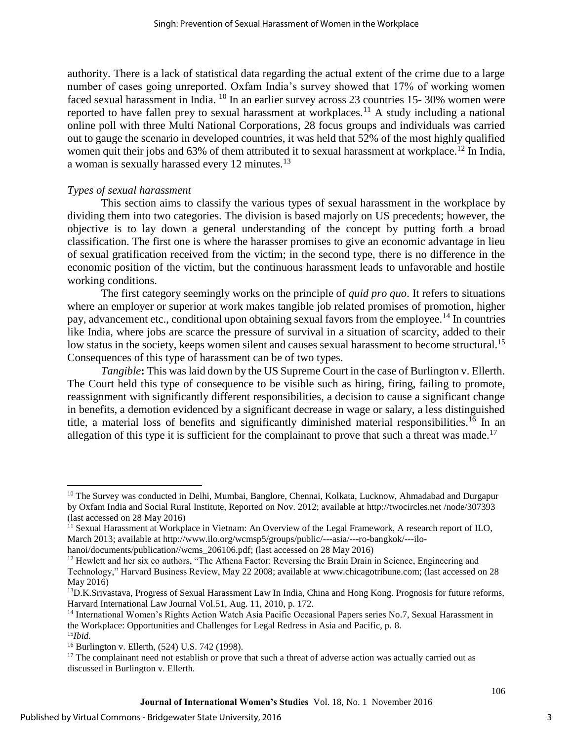authority. There is a lack of statistical data regarding the actual extent of the crime due to a large number of cases going unreported. Oxfam India's survey showed that 17% of working women faced sexual harassment in India. <sup>10</sup> In an earlier survey across 23 countries 15- 30% women were reported to have fallen prey to sexual harassment at workplaces.<sup>11</sup> A study including a national online poll with three Multi National Corporations, 28 focus groups and individuals was carried out to gauge the scenario in developed countries, it was held that 52% of the most highly qualified women quit their jobs and 63% of them attributed it to sexual harassment at workplace.<sup>12</sup> In India, a woman is sexually harassed every 12 minutes.<sup>13</sup>

## *Types of sexual harassment*

This section aims to classify the various types of sexual harassment in the workplace by dividing them into two categories. The division is based majorly on US precedents; however, the objective is to lay down a general understanding of the concept by putting forth a broad classification. The first one is where the harasser promises to give an economic advantage in lieu of sexual gratification received from the victim; in the second type, there is no difference in the economic position of the victim, but the continuous harassment leads to unfavorable and hostile working conditions.

The first category seemingly works on the principle of *quid pro quo*. It refers to situations where an employer or superior at work makes tangible job related promises of promotion, higher pay, advancement etc., conditional upon obtaining sexual favors from the employee.<sup>14</sup> In countries like India, where jobs are scarce the pressure of survival in a situation of scarcity, added to their low status in the society, keeps women silent and causes sexual harassment to become structural.<sup>15</sup> Consequences of this type of harassment can be of two types.

*Tangible***:** This was laid down by the US Supreme Court in the case of Burlington v. Ellerth. The Court held this type of consequence to be visible such as hiring, firing, failing to promote, reassignment with significantly different responsibilities, a decision to cause a significant change in benefits, a demotion evidenced by a significant decrease in wage or salary, a less distinguished title, a material loss of benefits and significantly diminished material responsibilities.<sup>16</sup> In an allegation of this type it is sufficient for the complainant to prove that such a threat was made.<sup>17</sup>

 $\overline{\phantom{a}}$ 

<sup>&</sup>lt;sup>10</sup> The Survey was conducted in Delhi, Mumbai, Banglore, Chennai, Kolkata, Lucknow, Ahmadabad and Durgapur by Oxfam India and Social Rural Institute, Reported on Nov. 2012; available at [http://twocircles.net](http://twocircles.net/) /node/307393 (last accessed on 28 May 2016)

<sup>&</sup>lt;sup>11</sup> Sexual Harassment at Workplace in Vietnam: An Overview of the Legal Framework, A research report of ILO, March 2013; available at [http://www.ilo.org/wcmsp5/groups/public/---asia/---ro-bangkok/---ilo](http://www.ilo.org/wcmsp5/groups/public/---asia/---ro-bangkok/---ilo-hanoi/documents/publication/wcms_206106.pdf)[hanoi/documents/publication//wcms\\_206106.pdf;](http://www.ilo.org/wcmsp5/groups/public/---asia/---ro-bangkok/---ilo-hanoi/documents/publication/wcms_206106.pdf) (last accessed on 28 May 2016)

<sup>&</sup>lt;sup>12</sup> Hewlett and her six co authors, "The Athena Factor: Reversing the Brain Drain in Science, Engineering and Technology," Harvard Business Review, May 22 2008; available at [www.chicagotribune.com;](http://www.chicagotribune.com/) (last accessed on 28 May 2016)

<sup>&</sup>lt;sup>13</sup>D.K.Srivastava, Progress of Sexual Harassment Law In India, China and Hong Kong. Prognosis for future reforms, Harvard International Law Journal Vol.51, Aug. 11, 2010, p. 172.

<sup>14</sup> International Women's Rights Action Watch Asia Pacific Occasional Papers series No.7, Sexual Harassment in the Workplace: Opportunities and Challenges for Legal Redress in Asia and Pacific, p. 8. <sup>15</sup>*Ibid.*

<sup>16</sup> Burlington v. Ellerth, (524) U.S. 742 (1998).

<sup>&</sup>lt;sup>17</sup> The complainant need not establish or prove that such a threat of adverse action was actually carried out as discussed in Burlington v. Ellerth.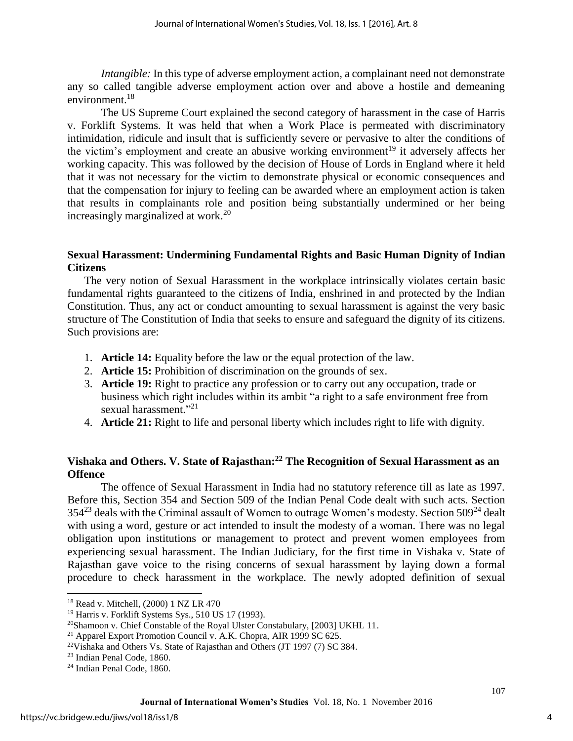*Intangible:* In this type of adverse employment action, a complainant need not demonstrate any so called tangible adverse employment action over and above a hostile and demeaning environment.<sup>18</sup>

The US Supreme Court explained the second category of harassment in the case of Harris v. Forklift Systems. It was held that when a Work Place is permeated with discriminatory intimidation, ridicule and insult that is sufficiently severe or pervasive to alter the conditions of the victim's employment and create an abusive working environment<sup>19</sup> it adversely affects her working capacity. This was followed by the decision of House of Lords in England where it held that it was not necessary for the victim to demonstrate physical or economic consequences and that the compensation for injury to feeling can be awarded where an employment action is taken that results in complainants role and position being substantially undermined or her being increasingly marginalized at work. $20$ 

## **Sexual Harassment: Undermining Fundamental Rights and Basic Human Dignity of Indian Citizens**

The very notion of Sexual Harassment in the workplace intrinsically violates certain basic fundamental rights guaranteed to the citizens of India, enshrined in and protected by the Indian Constitution. Thus, any act or conduct amounting to sexual harassment is against the very basic structure of The Constitution of India that seeks to ensure and safeguard the dignity of its citizens. Such provisions are:

- 1. **Article 14:** Equality before the law or the equal protection of the law.
- 2. **Article 15:** Prohibition of discrimination on the grounds of sex.
- 3. **Article 19:** Right to practice any profession or to carry out any occupation, trade or business which right includes within its ambit "a right to a safe environment free from sexual harassment."<sup>21</sup>
- 4. **Article 21:** Right to life and personal liberty which includes right to life with dignity.

## **Vishaka and Others. V. State of Rajasthan:<sup>22</sup> The Recognition of Sexual Harassment as an Offence**

The offence of Sexual Harassment in India had no statutory reference till as late as 1997. Before this, Section 354 and Section 509 of the Indian Penal Code dealt with such acts. Section  $354^{23}$  deals with the Criminal assault of Women to outrage Women's modesty. Section  $509^{24}$  dealt with using a word, gesture or act intended to insult the modesty of a woman. There was no legal obligation upon institutions or management to protect and prevent women employees from experiencing sexual harassment. The Indian Judiciary, for the first time in Vishaka v. State of Rajasthan gave voice to the rising concerns of sexual harassment by laying down a formal procedure to check harassment in the workplace. The newly adopted definition of sexual

 $\overline{\phantom{a}}$ 

<sup>&</sup>lt;sup>18</sup> Read v. Mitchell, (2000) 1 NZ LR 470

<sup>19</sup> Harris v. Forklift Systems Sys., 510 US 17 (1993).

<sup>&</sup>lt;sup>20</sup>Shamoon v. Chief Constable of the Royal Ulster Constabulary, [2003] UKHL 11.

 $21$  Apparel Export Promotion Council v. A.K. Chopra, AIR 1999 SC 625.

 $22$ Vishaka and Others Vs. State of Rajasthan and Others (JT 1997 (7) SC 384.

<sup>23</sup> Indian Penal Code, 1860.

<sup>24</sup> Indian Penal Code, 1860.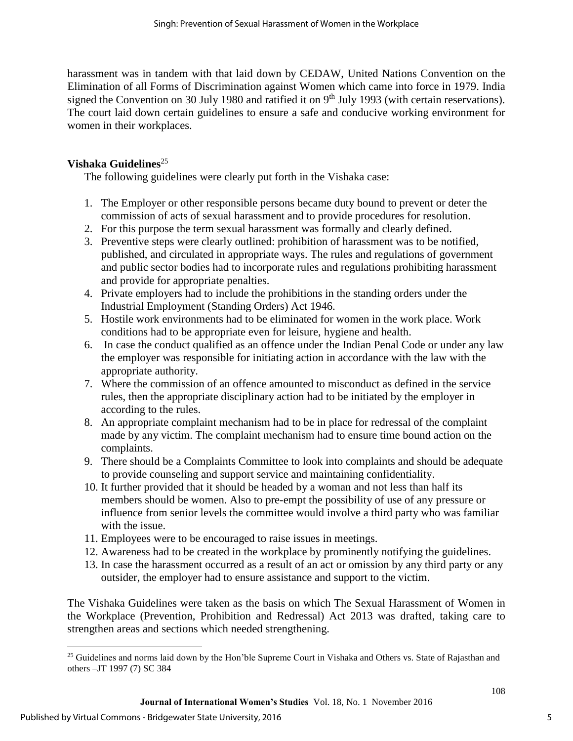harassment was in tandem with that laid down by CEDAW, United Nations Convention on the Elimination of all Forms of Discrimination against Women which came into force in 1979. India signed the Convention on 30 July 1980 and ratified it on 9<sup>th</sup> July 1993 (with certain reservations). The court laid down certain guidelines to ensure a safe and conducive working environment for women in their workplaces.

## **Vishaka Guidelines**<sup>25</sup>

The following guidelines were clearly put forth in the Vishaka case:

- 1. The Employer or other responsible persons became duty bound to prevent or deter the commission of acts of sexual harassment and to provide procedures for resolution.
- 2. For this purpose the term sexual harassment was formally and clearly defined.
- 3. Preventive steps were clearly outlined: prohibition of harassment was to be notified, published, and circulated in appropriate ways. The rules and regulations of government and public sector bodies had to incorporate rules and regulations prohibiting harassment and provide for appropriate penalties.
- 4. Private employers had to include the prohibitions in the standing orders under the Industrial Employment (Standing Orders) Act 1946.
- 5. Hostile work environments had to be eliminated for women in the work place. Work conditions had to be appropriate even for leisure, hygiene and health.
- 6. In case the conduct qualified as an offence under the Indian Penal Code or under any law the employer was responsible for initiating action in accordance with the law with the appropriate authority.
- 7. Where the commission of an offence amounted to misconduct as defined in the service rules, then the appropriate disciplinary action had to be initiated by the employer in according to the rules.
- 8. An appropriate complaint mechanism had to be in place for redressal of the complaint made by any victim. The complaint mechanism had to ensure time bound action on the complaints.
- 9. There should be a Complaints Committee to look into complaints and should be adequate to provide counseling and support service and maintaining confidentiality.
- 10. It further provided that it should be headed by a woman and not less than half its members should be women. Also to pre-empt the possibility of use of any pressure or influence from senior levels the committee would involve a third party who was familiar with the issue.
- 11. Employees were to be encouraged to raise issues in meetings.
- 12. Awareness had to be created in the workplace by prominently notifying the guidelines.
- 13. In case the harassment occurred as a result of an act or omission by any third party or any outsider, the employer had to ensure assistance and support to the victim.

The Vishaka Guidelines were taken as the basis on which The Sexual Harassment of Women in the Workplace (Prevention, Prohibition and Redressal) Act 2013 was drafted, taking care to strengthen areas and sections which needed strengthening.

 $\overline{\phantom{a}}$ 

<sup>&</sup>lt;sup>25</sup> Guidelines and norms laid down by the Hon'ble Supreme Court in Vishaka and Others vs. State of Rajasthan and others –JT 1997 (7) SC 384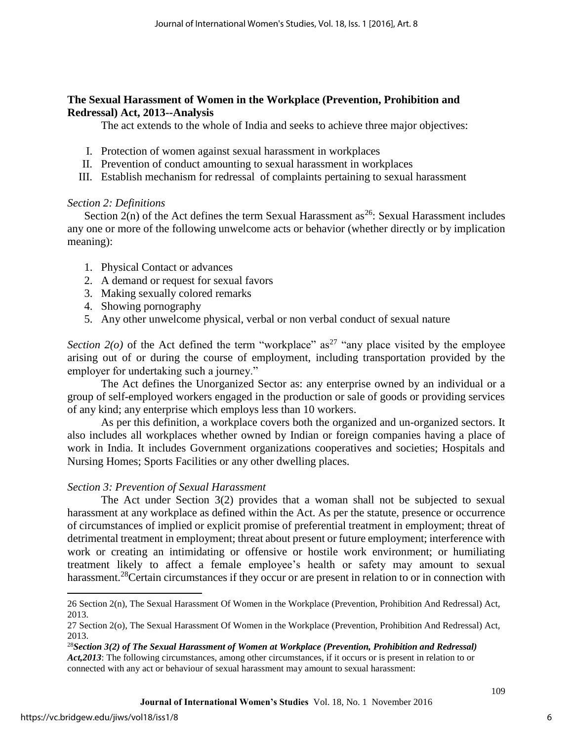#### **The Sexual Harassment of Women in the Workplace (Prevention, Prohibition and Redressal) Act, 2013--Analysis**

The act extends to the whole of India and seeks to achieve three major objectives:

- I. Protection of women against sexual harassment in workplaces
- II. Prevention of conduct amounting to sexual harassment in workplaces
- III. Establish mechanism for redressal of complaints pertaining to sexual harassment

## *Section 2: Definitions*

Section  $2(n)$  of the Act defines the term Sexual Harassment as<sup>26</sup>: Sexual Harassment includes any one or more of the following unwelcome acts or behavior (whether directly or by implication meaning):

- 1. Physical Contact or advances
- 2. A demand or request for sexual favors
- 3. Making sexually colored remarks
- 4. Showing pornography
- 5. Any other unwelcome physical, verbal or non verbal conduct of sexual nature

*Section 2(o)* of the Act defined the term "workplace" as<sup>27</sup> "any place visited by the employee arising out of or during the course of employment, including transportation provided by the employer for undertaking such a journey."

The Act defines the Unorganized Sector as: any enterprise owned by an individual or a group of self-employed workers engaged in the production or sale of goods or providing services of any kind; any enterprise which employs less than 10 workers.

As per this definition, a workplace covers both the organized and un-organized sectors. It also includes all workplaces whether owned by Indian or foreign companies having a place of work in India. It includes Government organizations cooperatives and societies; Hospitals and Nursing Homes; Sports Facilities or any other dwelling places.

#### *Section 3: Prevention of Sexual Harassment*

The Act under Section 3(2) provides that a woman shall not be subjected to sexual harassment at any workplace as defined within the Act. As per the statute, presence or occurrence of circumstances of implied or explicit promise of preferential treatment in employment; threat of detrimental treatment in employment; threat about present or future employment; interference with work or creating an intimidating or offensive or hostile work environment; or humiliating treatment likely to affect a female employee's health or safety may amount to sexual harassment.<sup>28</sup>Certain circumstances if they occur or are present in relation to or in connection with

 $\overline{\phantom{a}}$ 

<sup>26</sup> Section 2(n), The Sexual Harassment Of Women in the Workplace (Prevention, Prohibition And Redressal) Act, 2013.

<sup>27</sup> Section 2(o), The Sexual Harassment Of Women in the Workplace (Prevention, Prohibition And Redressal) Act, 2013.

<sup>28</sup>*Section 3(2) of The Sexual Harassment of Women at Workplace (Prevention, Prohibition and Redressal) Act,2013*: The following circumstances, among other circumstances, if it occurs or is present in relation to or connected with any act or behaviour of sexual harassment may amount to sexual harassment: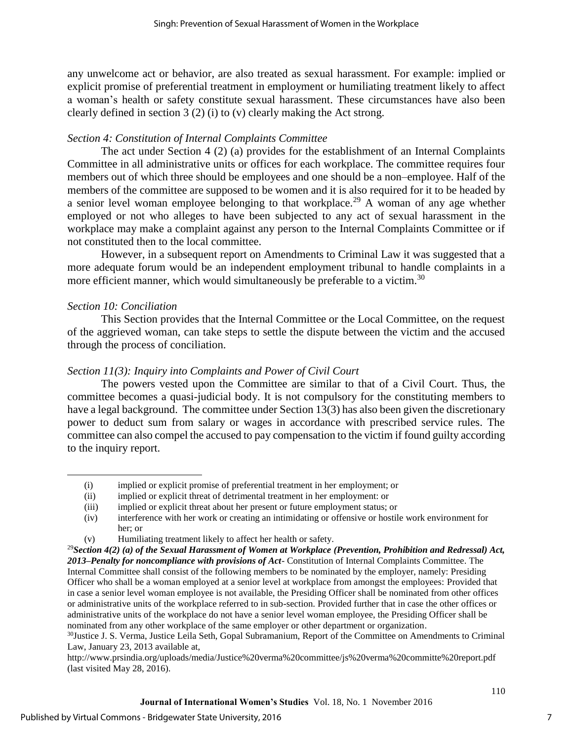any unwelcome act or behavior, are also treated as sexual harassment. For example: implied or explicit promise of preferential treatment in employment or humiliating treatment likely to affect a woman's health or safety constitute sexual harassment. These circumstances have also been clearly defined in section 3 (2) (i) to (v) clearly making the Act strong.

## *Section 4: Constitution of Internal Complaints Committee*

The act under Section 4 (2) (a) provides for the establishment of an Internal Complaints Committee in all administrative units or offices for each workplace. The committee requires four members out of which three should be employees and one should be a non–employee. Half of the members of the committee are supposed to be women and it is also required for it to be headed by a senior level woman employee belonging to that workplace.<sup>29</sup> A woman of any age whether employed or not who alleges to have been subjected to any act of sexual harassment in the workplace may make a complaint against any person to the Internal Complaints Committee or if not constituted then to the local committee.

However, in a subsequent report on Amendments to Criminal Law it was suggested that a more adequate forum would be an independent employment tribunal to handle complaints in a more efficient manner, which would simultaneously be preferable to a victim.<sup>30</sup>

## *Section 10: Conciliation*

 $\overline{a}$ 

This Section provides that the Internal Committee or the Local Committee, on the request of the aggrieved woman, can take steps to settle the dispute between the victim and the accused through the process of conciliation.

## *Section 11(3): Inquiry into Complaints and Power of Civil Court*

The powers vested upon the Committee are similar to that of a Civil Court. Thus, the committee becomes a quasi-judicial body. It is not compulsory for the constituting members to have a legal background. The committee under Section 13(3) has also been given the discretionary power to deduct sum from salary or wages in accordance with prescribed service rules. The committee can also compel the accused to pay compensation to the victim if found guilty according to the inquiry report.

<sup>(</sup>i) implied or explicit promise of preferential treatment in her employment; or

<sup>(</sup>ii) implied or explicit threat of detrimental treatment in her employment: or

<sup>(</sup>iii) implied or explicit threat about her present or future employment status; or

<sup>(</sup>iv) interference with her work or creating an intimidating or offensive or hostile work environment for her; or

<sup>(</sup>v) Humiliating treatment likely to affect her health or safety.

<sup>29</sup>*Section 4(2) (a) of the Sexual Harassment of Women at Workplace (Prevention, Prohibition and Redressal) Act, 2013–Penalty for noncompliance with provisions of Act*- Constitution of Internal Complaints Committee. The Internal Committee shall consist of the following members to be nominated by the employer, namely: Presiding Officer who shall be a woman employed at a senior level at workplace from amongst the employees: Provided that in case a senior level woman employee is not available, the Presiding Officer shall be nominated from other offices or administrative units of the workplace referred to in sub-section. Provided further that in case the other offices or administrative units of the workplace do not have a senior level woman employee, the Presiding Officer shall be nominated from any other workplace of the same employer or other department or organization.

<sup>&</sup>lt;sup>30</sup>Justice J. S. Verma, Justice Leila Seth, Gopal Subramanium, Report of the Committee on Amendments to Criminal Law, January 23, 2013 available at,

<http://www.prsindia.org/uploads/media/Justice%20verma%20committee/js%20verma%20committe%20report.pdf> (last visited May 28, 2016).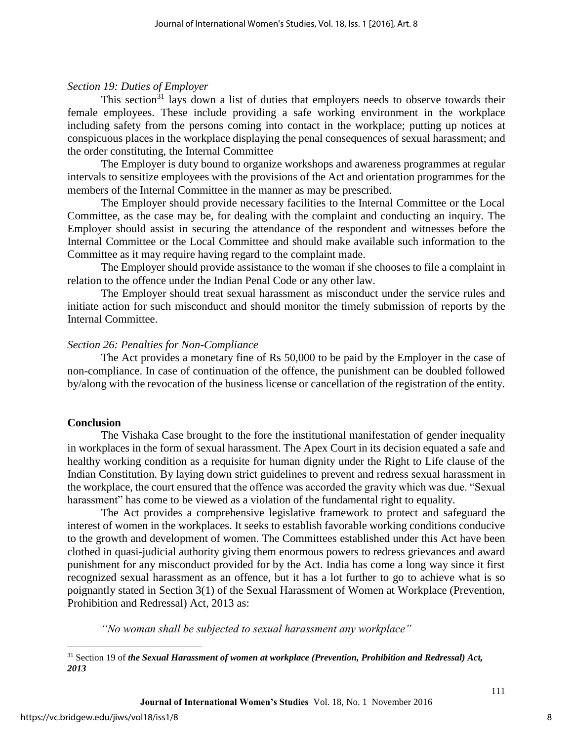#### *Section 19: Duties of Employer*

This section<sup>31</sup> lays down a list of duties that employers needs to observe towards their female employees. These include providing a safe working environment in the workplace including safety from the persons coming into contact in the workplace; putting up notices at conspicuous places in the workplace displaying the penal consequences of sexual harassment; and the order constituting, the Internal Committee

The Employer is duty bound to organize workshops and awareness programmes at regular intervals to sensitize employees with the provisions of the Act and orientation programmes for the members of the Internal Committee in the manner as may be prescribed.

The Employer should provide necessary facilities to the Internal Committee or the Local Committee, as the case may be, for dealing with the complaint and conducting an inquiry. The Employer should assist in securing the attendance of the respondent and witnesses before the Internal Committee or the Local Committee and should make available such information to the Committee as it may require having regard to the complaint made.

The Employer should provide assistance to the woman if she chooses to file a complaint in relation to the offence under the Indian Penal Code or any other law.

The Employer should treat sexual harassment as misconduct under the service rules and initiate action for such misconduct and should monitor the timely submission of reports by the Internal Committee.

#### *Section 26: Penalties for Non-Compliance*

The Act provides a monetary fine of Rs 50,000 to be paid by the Employer in the case of non-compliance. In case of continuation of the offence, the punishment can be doubled followed by/along with the revocation of the business license or cancellation of the registration of the entity.

#### **Conclusion**

The Vishaka Case brought to the fore the institutional manifestation of gender inequality in workplaces in the form of sexual harassment. The Apex Court in its decision equated a safe and healthy working condition as a requisite for human dignity under the Right to Life clause of the Indian Constitution. By laying down strict guidelines to prevent and redress sexual harassment in the workplace, the court ensured that the offence was accorded the gravity which was due. "Sexual harassment" has come to be viewed as a violation of the fundamental right to equality.

The Act provides a comprehensive legislative framework to protect and safeguard the interest of women in the workplaces. It seeks to establish favorable working conditions conducive to the growth and development of women. The Committees established under this Act have been clothed in quasi-judicial authority giving them enormous powers to redress grievances and award punishment for any misconduct provided for by the Act. India has come a long way since it first recognized sexual harassment as an offence, but it has a lot further to go to achieve what is so poignantly stated in Section 3(1) of the Sexual Harassment of Women at Workplace (Prevention, Prohibition and Redressal) Act, 2013 as:

*"No woman shall be subjected to sexual harassment any workplace"*

 $\overline{\phantom{a}}$ 

<sup>31</sup> Section 19 of *the Sexual Harassment of women at workplace (Prevention, Prohibition and Redressal) Act, 2013*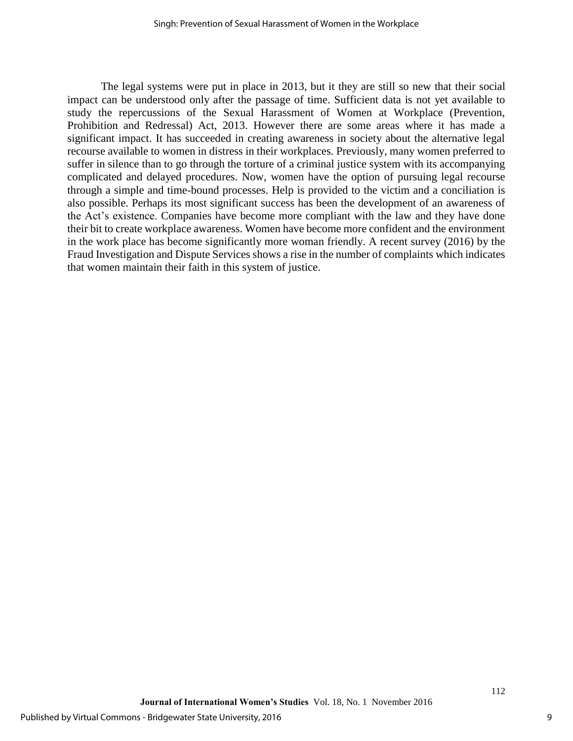The legal systems were put in place in 2013, but it they are still so new that their social impact can be understood only after the passage of time. Sufficient data is not yet available to study the repercussions of the Sexual Harassment of Women at Workplace (Prevention, Prohibition and Redressal) Act, 2013. However there are some areas where it has made a significant impact. It has succeeded in creating awareness in society about the alternative legal recourse available to women in distress in their workplaces. Previously, many women preferred to suffer in silence than to go through the torture of a criminal justice system with its accompanying complicated and delayed procedures. Now, women have the option of pursuing legal recourse through a simple and time-bound processes. Help is provided to the victim and a conciliation is also possible. Perhaps its most significant success has been the development of an awareness of the Act's existence. Companies have become more compliant with the law and they have done their bit to create workplace awareness. Women have become more confident and the environment in the work place has become significantly more woman friendly. A recent survey (2016) by the Fraud Investigation and Dispute Services shows a rise in the number of complaints which indicates that women maintain their faith in this system of justice.